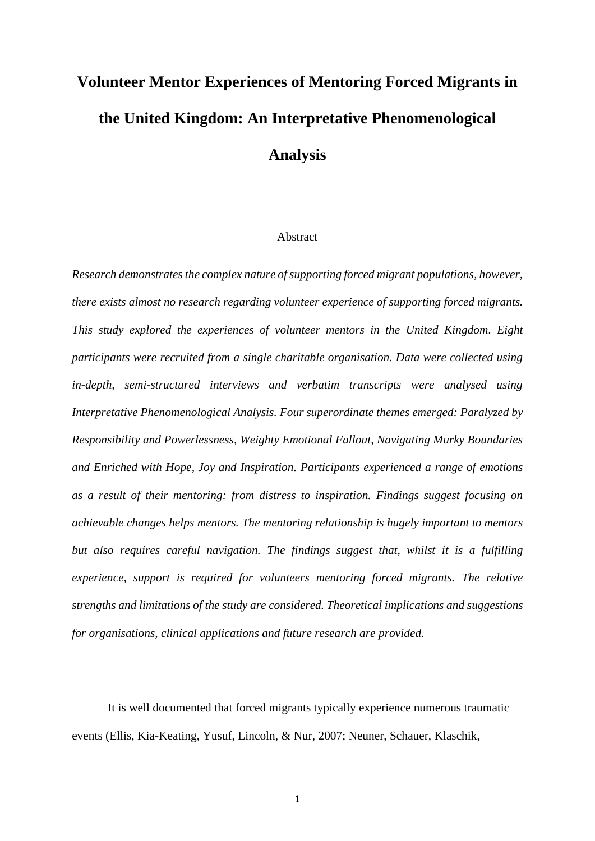# **Volunteer Mentor Experiences of Mentoring Forced Migrants in the United Kingdom: An Interpretative Phenomenological Analysis**

## Abstract

*Research demonstrates the complex nature of supporting forced migrant populations, however, there exists almost no research regarding volunteer experience of supporting forced migrants. This study explored the experiences of volunteer mentors in the United Kingdom. Eight participants were recruited from a single charitable organisation. Data were collected using in-depth, semi-structured interviews and verbatim transcripts were analysed using Interpretative Phenomenological Analysis. Four superordinate themes emerged: Paralyzed by Responsibility and Powerlessness, Weighty Emotional Fallout, Navigating Murky Boundaries and Enriched with Hope, Joy and Inspiration. Participants experienced a range of emotions as a result of their mentoring: from distress to inspiration. Findings suggest focusing on achievable changes helps mentors. The mentoring relationship is hugely important to mentors but also requires careful navigation. The findings suggest that, whilst it is a fulfilling experience, support is required for volunteers mentoring forced migrants. The relative strengths and limitations of the study are considered. Theoretical implications and suggestions for organisations, clinical applications and future research are provided.* 

It is well documented that forced migrants typically experience numerous traumatic events (Ellis, Kia-Keating, Yusuf, Lincoln, & Nur, 2007; Neuner, Schauer, Klaschik,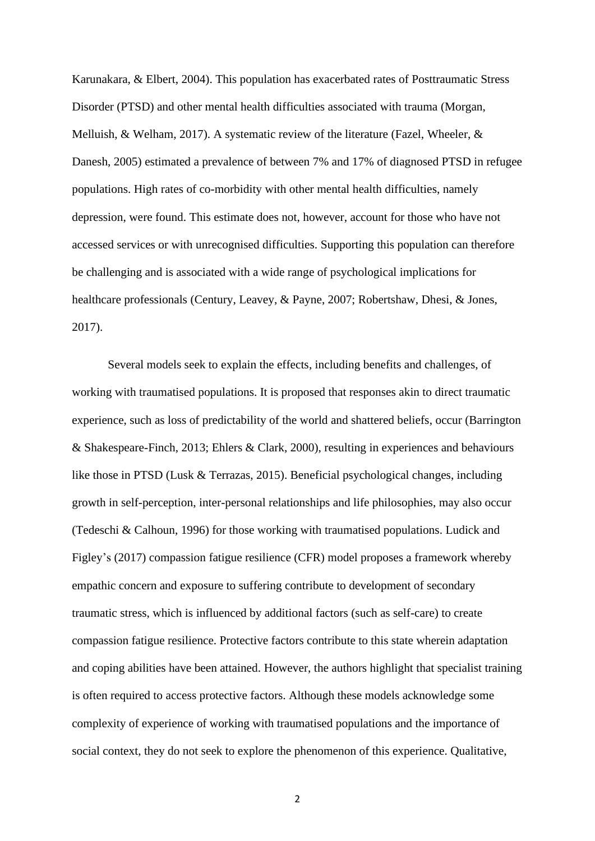Karunakara, & Elbert, 2004). This population has exacerbated rates of Posttraumatic Stress Disorder (PTSD) and other mental health difficulties associated with trauma (Morgan, Melluish, & Welham, 2017). A systematic review of the literature (Fazel, Wheeler, & Danesh, 2005) estimated a prevalence of between 7% and 17% of diagnosed PTSD in refugee populations. High rates of co-morbidity with other mental health difficulties, namely depression, were found. This estimate does not, however, account for those who have not accessed services or with unrecognised difficulties. Supporting this population can therefore be challenging and is associated with a wide range of psychological implications for healthcare professionals (Century, Leavey, & Payne, 2007; Robertshaw, Dhesi, & Jones, 2017).

Several models seek to explain the effects, including benefits and challenges, of working with traumatised populations. It is proposed that responses akin to direct traumatic experience, such as loss of predictability of the world and shattered beliefs, occur (Barrington & Shakespeare-Finch, 2013; Ehlers & Clark, 2000), resulting in experiences and behaviours like those in PTSD (Lusk & Terrazas, 2015). Beneficial psychological changes, including growth in self-perception, inter-personal relationships and life philosophies, may also occur (Tedeschi & Calhoun, 1996) for those working with traumatised populations. Ludick and Figley's (2017) compassion fatigue resilience (CFR) model proposes a framework whereby empathic concern and exposure to suffering contribute to development of secondary traumatic stress, which is influenced by additional factors (such as self-care) to create compassion fatigue resilience. Protective factors contribute to this state wherein adaptation and coping abilities have been attained. However, the authors highlight that specialist training is often required to access protective factors. Although these models acknowledge some complexity of experience of working with traumatised populations and the importance of social context, they do not seek to explore the phenomenon of this experience. Qualitative,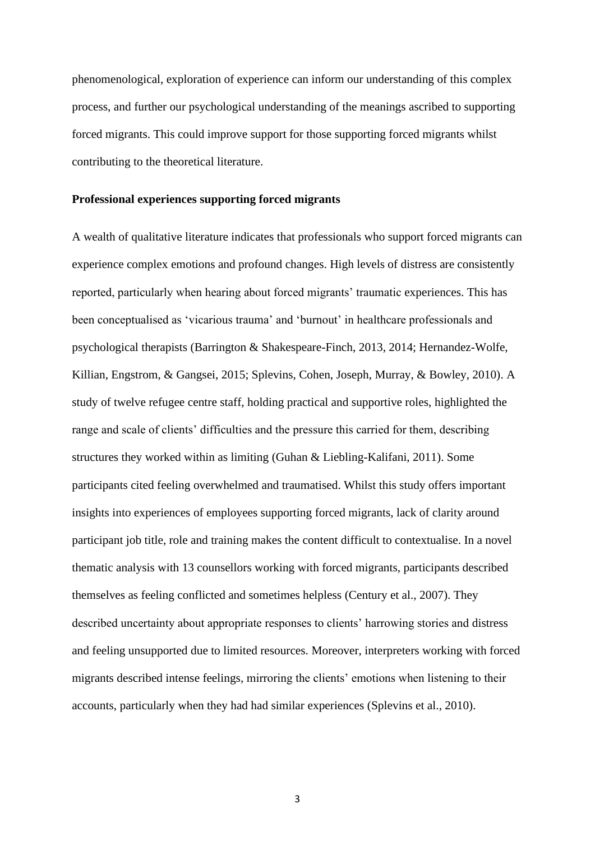phenomenological, exploration of experience can inform our understanding of this complex process, and further our psychological understanding of the meanings ascribed to supporting forced migrants. This could improve support for those supporting forced migrants whilst contributing to the theoretical literature.

## **Professional experiences supporting forced migrants**

A wealth of qualitative literature indicates that professionals who support forced migrants can experience complex emotions and profound changes. High levels of distress are consistently reported, particularly when hearing about forced migrants' traumatic experiences. This has been conceptualised as 'vicarious trauma' and 'burnout' in healthcare professionals and psychological therapists (Barrington & Shakespeare-Finch, 2013, 2014; Hernandez-Wolfe, Killian, Engstrom, & Gangsei, 2015; Splevins, Cohen, Joseph, Murray, & Bowley, 2010). A study of twelve refugee centre staff, holding practical and supportive roles, highlighted the range and scale of clients' difficulties and the pressure this carried for them, describing structures they worked within as limiting (Guhan & Liebling-Kalifani, 2011). Some participants cited feeling overwhelmed and traumatised. Whilst this study offers important insights into experiences of employees supporting forced migrants, lack of clarity around participant job title, role and training makes the content difficult to contextualise. In a novel thematic analysis with 13 counsellors working with forced migrants, participants described themselves as feeling conflicted and sometimes helpless (Century et al., 2007). They described uncertainty about appropriate responses to clients' harrowing stories and distress and feeling unsupported due to limited resources. Moreover, interpreters working with forced migrants described intense feelings, mirroring the clients' emotions when listening to their accounts, particularly when they had had similar experiences (Splevins et al., 2010).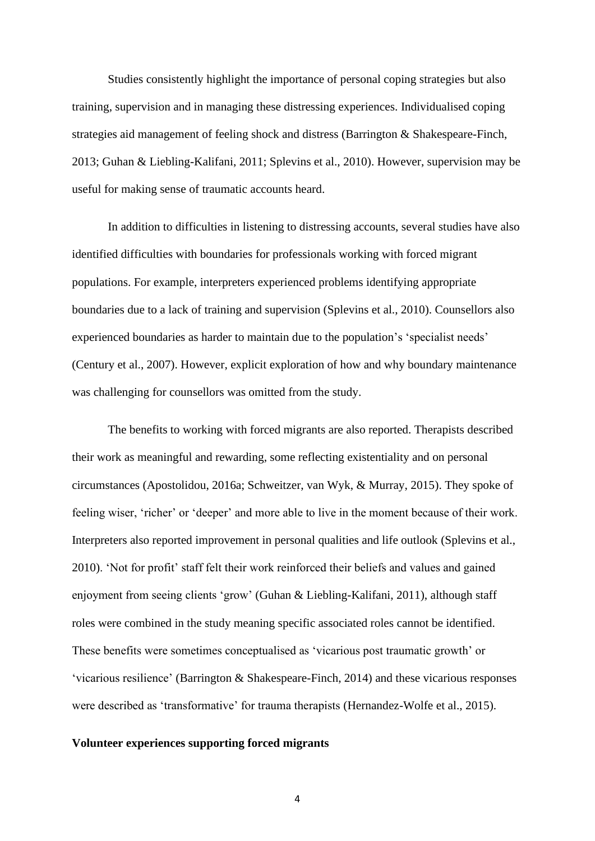Studies consistently highlight the importance of personal coping strategies but also training, supervision and in managing these distressing experiences. Individualised coping strategies aid management of feeling shock and distress (Barrington & Shakespeare-Finch, 2013; Guhan & Liebling-Kalifani, 2011; Splevins et al., 2010). However, supervision may be useful for making sense of traumatic accounts heard.

In addition to difficulties in listening to distressing accounts, several studies have also identified difficulties with boundaries for professionals working with forced migrant populations. For example, interpreters experienced problems identifying appropriate boundaries due to a lack of training and supervision (Splevins et al., 2010). Counsellors also experienced boundaries as harder to maintain due to the population's 'specialist needs' (Century et al., 2007). However, explicit exploration of how and why boundary maintenance was challenging for counsellors was omitted from the study.

The benefits to working with forced migrants are also reported. Therapists described their work as meaningful and rewarding, some reflecting existentiality and on personal circumstances (Apostolidou, 2016a; Schweitzer, van Wyk, & Murray, 2015). They spoke of feeling wiser, 'richer' or 'deeper' and more able to live in the moment because of their work. Interpreters also reported improvement in personal qualities and life outlook (Splevins et al., 2010). 'Not for profit' staff felt their work reinforced their beliefs and values and gained enjoyment from seeing clients 'grow' (Guhan & Liebling-Kalifani, 2011), although staff roles were combined in the study meaning specific associated roles cannot be identified. These benefits were sometimes conceptualised as 'vicarious post traumatic growth' or 'vicarious resilience' (Barrington & Shakespeare-Finch, 2014) and these vicarious responses were described as 'transformative' for trauma therapists (Hernandez-Wolfe et al., 2015).

## **Volunteer experiences supporting forced migrants**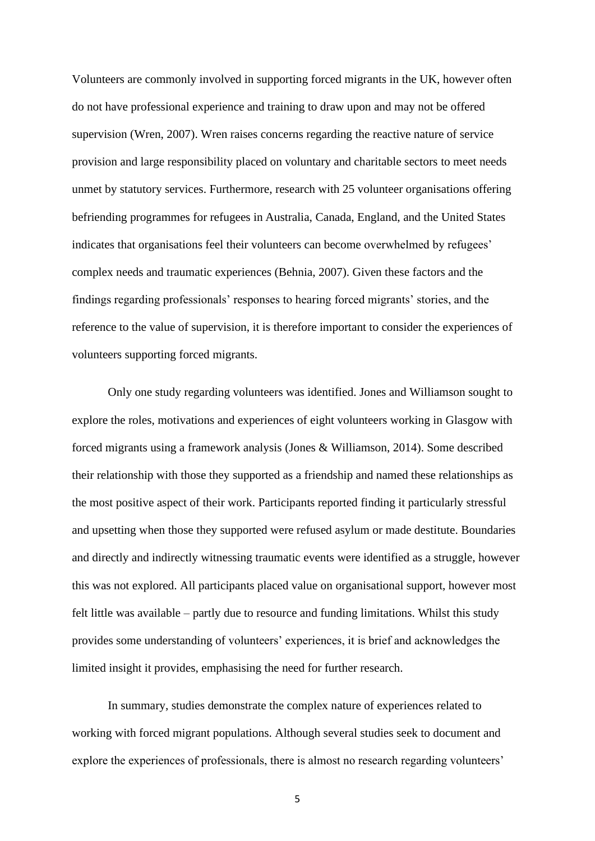Volunteers are commonly involved in supporting forced migrants in the UK, however often do not have professional experience and training to draw upon and may not be offered supervision (Wren, 2007). Wren raises concerns regarding the reactive nature of service provision and large responsibility placed on voluntary and charitable sectors to meet needs unmet by statutory services. Furthermore, research with 25 volunteer organisations offering befriending programmes for refugees in Australia, Canada, England, and the United States indicates that organisations feel their volunteers can become overwhelmed by refugees' complex needs and traumatic experiences (Behnia, 2007). Given these factors and the findings regarding professionals' responses to hearing forced migrants' stories, and the reference to the value of supervision, it is therefore important to consider the experiences of volunteers supporting forced migrants.

Only one study regarding volunteers was identified. Jones and Williamson sought to explore the roles, motivations and experiences of eight volunteers working in Glasgow with forced migrants using a framework analysis (Jones & Williamson, 2014). Some described their relationship with those they supported as a friendship and named these relationships as the most positive aspect of their work. Participants reported finding it particularly stressful and upsetting when those they supported were refused asylum or made destitute. Boundaries and directly and indirectly witnessing traumatic events were identified as a struggle, however this was not explored. All participants placed value on organisational support, however most felt little was available – partly due to resource and funding limitations. Whilst this study provides some understanding of volunteers' experiences, it is brief and acknowledges the limited insight it provides, emphasising the need for further research.

In summary, studies demonstrate the complex nature of experiences related to working with forced migrant populations. Although several studies seek to document and explore the experiences of professionals, there is almost no research regarding volunteers'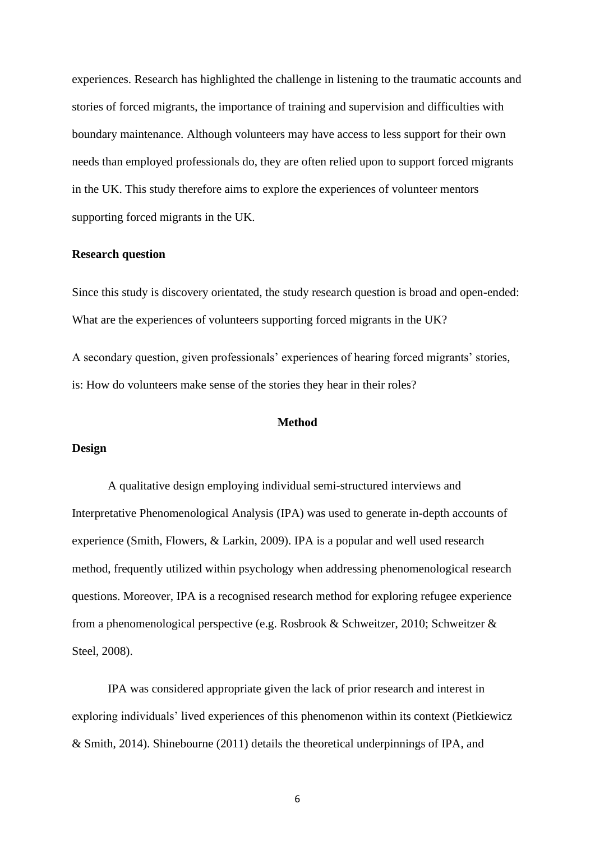experiences. Research has highlighted the challenge in listening to the traumatic accounts and stories of forced migrants, the importance of training and supervision and difficulties with boundary maintenance. Although volunteers may have access to less support for their own needs than employed professionals do, they are often relied upon to support forced migrants in the UK. This study therefore aims to explore the experiences of volunteer mentors supporting forced migrants in the UK.

## **Research question**

Since this study is discovery orientated, the study research question is broad and open-ended: What are the experiences of volunteers supporting forced migrants in the UK?

A secondary question, given professionals' experiences of hearing forced migrants' stories, is: How do volunteers make sense of the stories they hear in their roles?

# **Method**

# **Design**

A qualitative design employing individual semi-structured interviews and Interpretative Phenomenological Analysis (IPA) was used to generate in-depth accounts of experience (Smith, Flowers, & Larkin, 2009). IPA is a popular and well used research method, frequently utilized within psychology when addressing phenomenological research questions. Moreover, IPA is a recognised research method for exploring refugee experience from a phenomenological perspective (e.g. Rosbrook & Schweitzer, 2010; Schweitzer & Steel, 2008).

IPA was considered appropriate given the lack of prior research and interest in exploring individuals' lived experiences of this phenomenon within its context (Pietkiewicz & Smith, 2014). Shinebourne (2011) details the theoretical underpinnings of IPA, and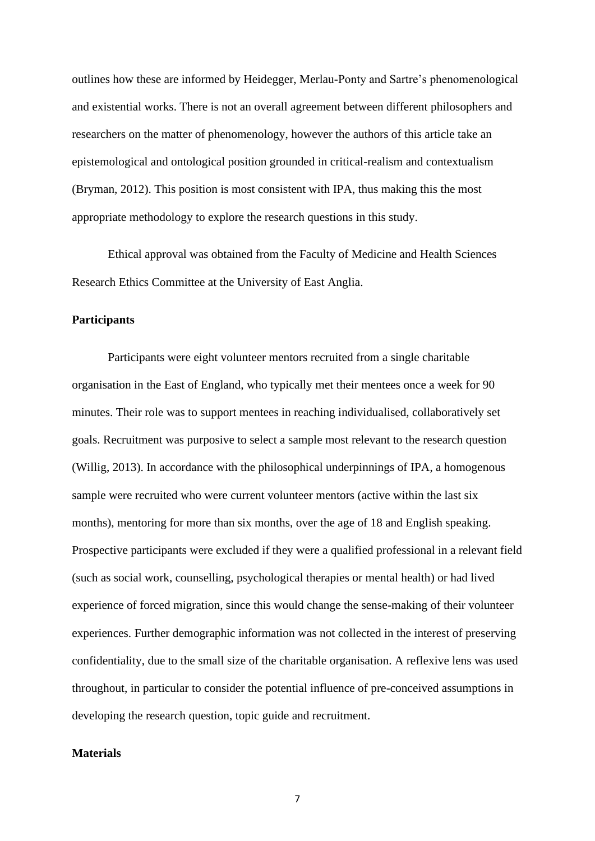outlines how these are informed by Heidegger, Merlau-Ponty and Sartre's phenomenological and existential works. There is not an overall agreement between different philosophers and researchers on the matter of phenomenology, however the authors of this article take an epistemological and ontological position grounded in critical-realism and contextualism (Bryman, 2012). This position is most consistent with IPA, thus making this the most appropriate methodology to explore the research questions in this study.

Ethical approval was obtained from the Faculty of Medicine and Health Sciences Research Ethics Committee at the University of East Anglia.

# **Participants**

Participants were eight volunteer mentors recruited from a single charitable organisation in the East of England, who typically met their mentees once a week for 90 minutes. Their role was to support mentees in reaching individualised, collaboratively set goals. Recruitment was purposive to select a sample most relevant to the research question (Willig, 2013). In accordance with the philosophical underpinnings of IPA, a homogenous sample were recruited who were current volunteer mentors (active within the last six months), mentoring for more than six months, over the age of 18 and English speaking. Prospective participants were excluded if they were a qualified professional in a relevant field (such as social work, counselling, psychological therapies or mental health) or had lived experience of forced migration, since this would change the sense-making of their volunteer experiences. Further demographic information was not collected in the interest of preserving confidentiality, due to the small size of the charitable organisation. A reflexive lens was used throughout, in particular to consider the potential influence of pre-conceived assumptions in developing the research question, topic guide and recruitment.

# **Materials**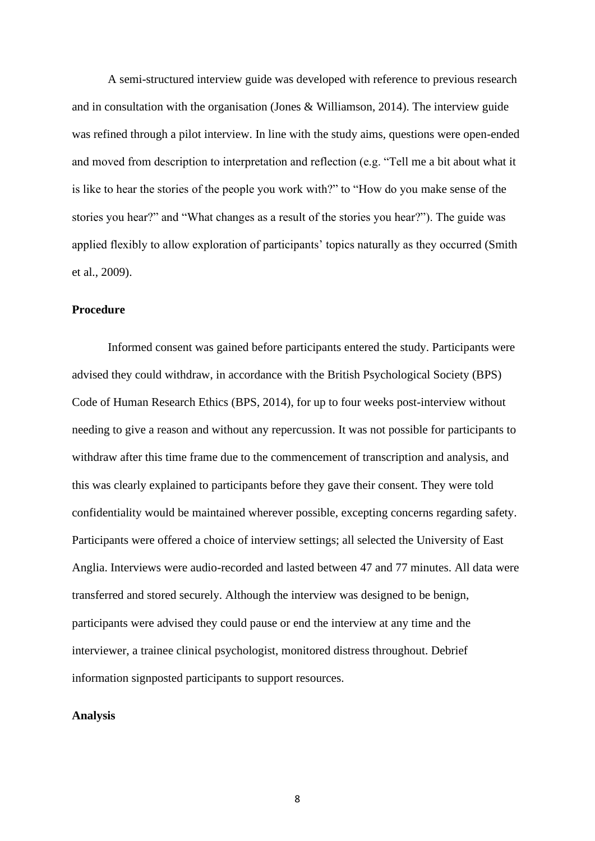A semi-structured interview guide was developed with reference to previous research and in consultation with the organisation (Jones & Williamson, 2014). The interview guide was refined through a pilot interview. In line with the study aims, questions were open-ended and moved from description to interpretation and reflection (e.g. "Tell me a bit about what it is like to hear the stories of the people you work with?" to "How do you make sense of the stories you hear?" and "What changes as a result of the stories you hear?"). The guide was applied flexibly to allow exploration of participants' topics naturally as they occurred (Smith et al., 2009).

# **Procedure**

Informed consent was gained before participants entered the study. Participants were advised they could withdraw, in accordance with the British Psychological Society (BPS) Code of Human Research Ethics (BPS, 2014), for up to four weeks post-interview without needing to give a reason and without any repercussion. It was not possible for participants to withdraw after this time frame due to the commencement of transcription and analysis, and this was clearly explained to participants before they gave their consent. They were told confidentiality would be maintained wherever possible, excepting concerns regarding safety. Participants were offered a choice of interview settings; all selected the University of East Anglia. Interviews were audio-recorded and lasted between 47 and 77 minutes. All data were transferred and stored securely. Although the interview was designed to be benign, participants were advised they could pause or end the interview at any time and the interviewer, a trainee clinical psychologist, monitored distress throughout. Debrief information signposted participants to support resources.

## **Analysis**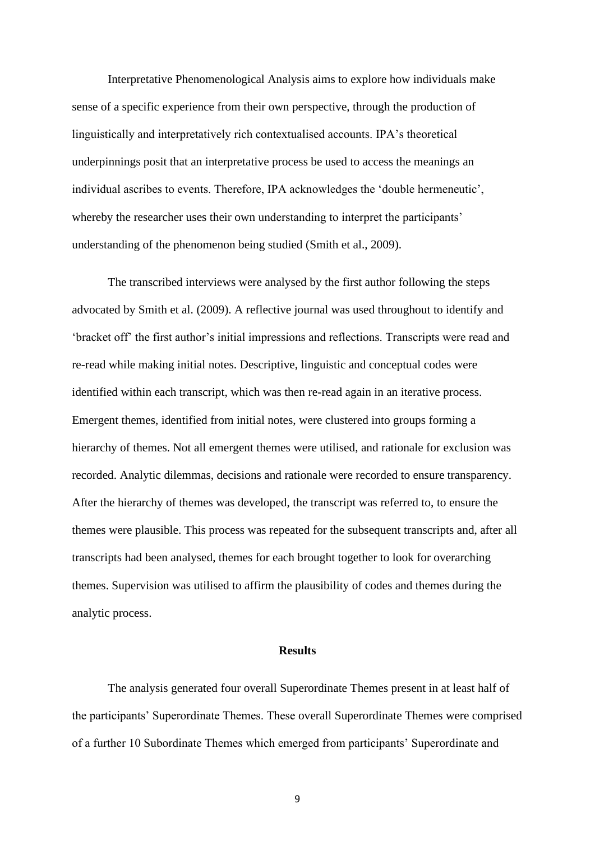Interpretative Phenomenological Analysis aims to explore how individuals make sense of a specific experience from their own perspective, through the production of linguistically and interpretatively rich contextualised accounts. IPA's theoretical underpinnings posit that an interpretative process be used to access the meanings an individual ascribes to events. Therefore, IPA acknowledges the 'double hermeneutic', whereby the researcher uses their own understanding to interpret the participants' understanding of the phenomenon being studied (Smith et al., 2009).

The transcribed interviews were analysed by the first author following the steps advocated by Smith et al. (2009). A reflective journal was used throughout to identify and 'bracket off' the first author's initial impressions and reflections. Transcripts were read and re-read while making initial notes. Descriptive, linguistic and conceptual codes were identified within each transcript, which was then re-read again in an iterative process. Emergent themes, identified from initial notes, were clustered into groups forming a hierarchy of themes. Not all emergent themes were utilised, and rationale for exclusion was recorded. Analytic dilemmas, decisions and rationale were recorded to ensure transparency. After the hierarchy of themes was developed, the transcript was referred to, to ensure the themes were plausible. This process was repeated for the subsequent transcripts and, after all transcripts had been analysed, themes for each brought together to look for overarching themes. Supervision was utilised to affirm the plausibility of codes and themes during the analytic process.

## **Results**

The analysis generated four overall Superordinate Themes present in at least half of the participants' Superordinate Themes. These overall Superordinate Themes were comprised of a further 10 Subordinate Themes which emerged from participants' Superordinate and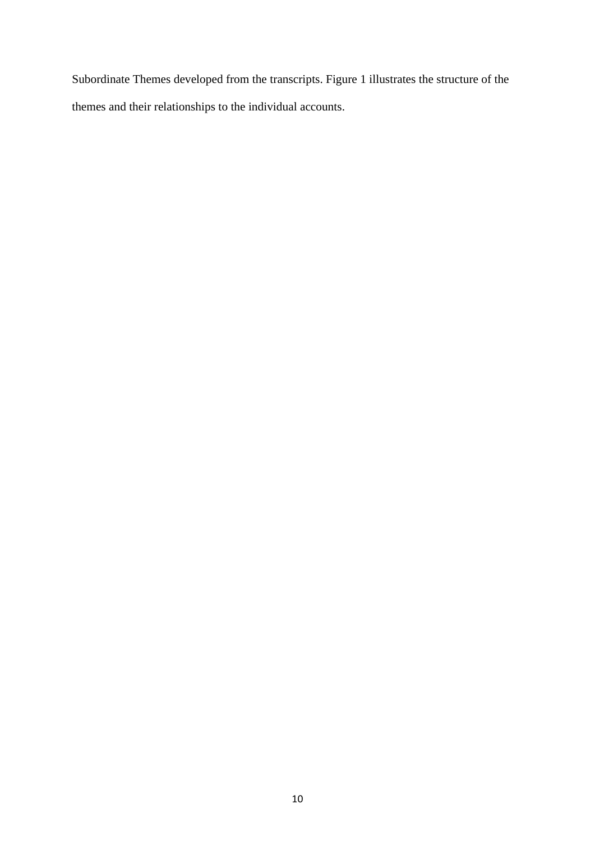Subordinate Themes developed from the transcripts. Figure 1 illustrates the structure of the themes and their relationships to the individual accounts.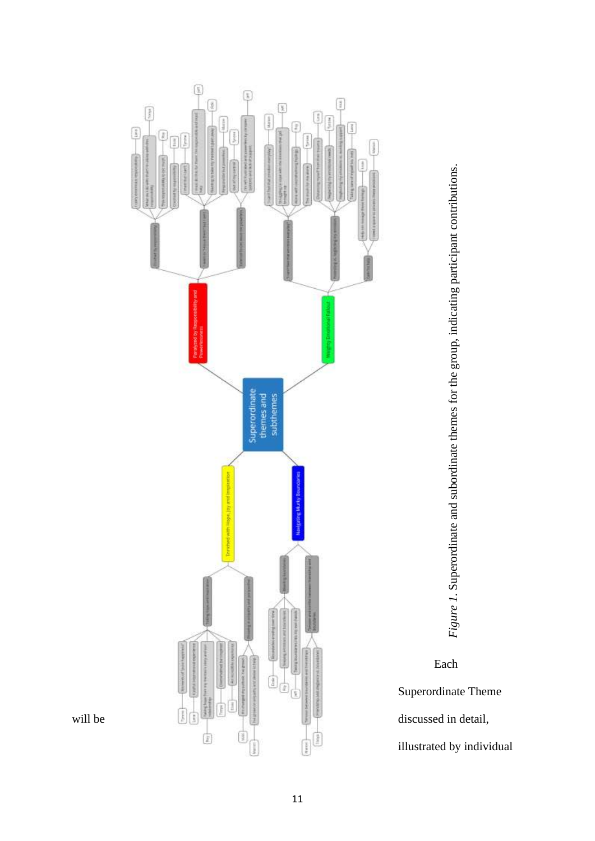





Superordinate Theme

illustrated by individual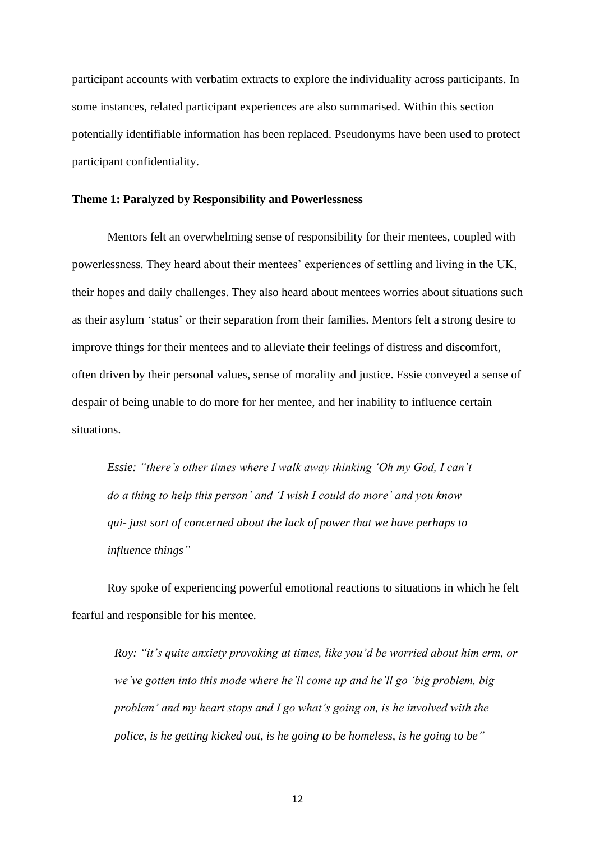participant accounts with verbatim extracts to explore the individuality across participants. In some instances, related participant experiences are also summarised. Within this section potentially identifiable information has been replaced. Pseudonyms have been used to protect participant confidentiality.

#### **Theme 1: Paralyzed by Responsibility and Powerlessness**

Mentors felt an overwhelming sense of responsibility for their mentees, coupled with powerlessness. They heard about their mentees' experiences of settling and living in the UK, their hopes and daily challenges. They also heard about mentees worries about situations such as their asylum 'status' or their separation from their families. Mentors felt a strong desire to improve things for their mentees and to alleviate their feelings of distress and discomfort, often driven by their personal values, sense of morality and justice. Essie conveyed a sense of despair of being unable to do more for her mentee, and her inability to influence certain situations.

*Essie: "there's other times where I walk away thinking 'Oh my God, I can't do a thing to help this person' and 'I wish I could do more' and you know qui- just sort of concerned about the lack of power that we have perhaps to influence things"*

Roy spoke of experiencing powerful emotional reactions to situations in which he felt fearful and responsible for his mentee.

*Roy: "it's quite anxiety provoking at times, like you'd be worried about him erm, or we've gotten into this mode where he'll come up and he'll go 'big problem, big problem' and my heart stops and I go what's going on, is he involved with the police, is he getting kicked out, is he going to be homeless, is he going to be"*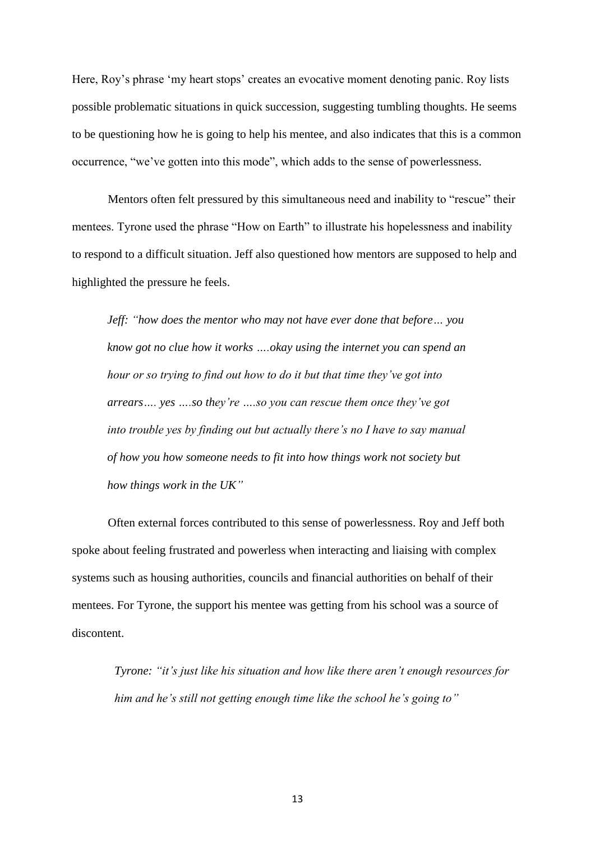Here, Roy's phrase 'my heart stops' creates an evocative moment denoting panic. Roy lists possible problematic situations in quick succession, suggesting tumbling thoughts. He seems to be questioning how he is going to help his mentee, and also indicates that this is a common occurrence, "we've gotten into this mode", which adds to the sense of powerlessness.

Mentors often felt pressured by this simultaneous need and inability to "rescue" their mentees. Tyrone used the phrase "How on Earth" to illustrate his hopelessness and inability to respond to a difficult situation. Jeff also questioned how mentors are supposed to help and highlighted the pressure he feels.

*Jeff: "how does the mentor who may not have ever done that before… you know got no clue how it works ….okay using the internet you can spend an hour or so trying to find out how to do it but that time they've got into arrears…. yes ….so they're ….so you can rescue them once they've got into trouble yes by finding out but actually there's no I have to say manual of how you how someone needs to fit into how things work not society but how things work in the UK"*

Often external forces contributed to this sense of powerlessness. Roy and Jeff both spoke about feeling frustrated and powerless when interacting and liaising with complex systems such as housing authorities, councils and financial authorities on behalf of their mentees. For Tyrone, the support his mentee was getting from his school was a source of discontent.

*Tyrone: "it's just like his situation and how like there aren't enough resources for him and he's still not getting enough time like the school he's going to"*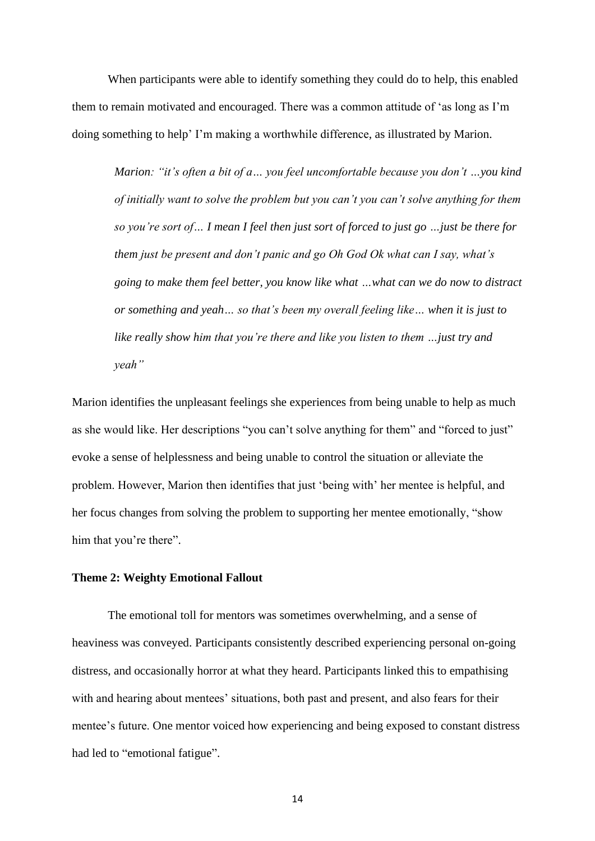When participants were able to identify something they could do to help, this enabled them to remain motivated and encouraged. There was a common attitude of 'as long as I'm doing something to help' I'm making a worthwhile difference, as illustrated by Marion.

*Marion: "it's often a bit of a… you feel uncomfortable because you don't …you kind of initially want to solve the problem but you can't you can't solve anything for them so you're sort of… I mean I feel then just sort of forced to just go …just be there for them just be present and don't panic and go Oh God Ok what can I say, what's going to make them feel better, you know like what …what can we do now to distract or something and yeah… so that's been my overall feeling like… when it is just to like really show him that you're there and like you listen to them …just try and yeah"*

Marion identifies the unpleasant feelings she experiences from being unable to help as much as she would like. Her descriptions "you can't solve anything for them" and "forced to just" evoke a sense of helplessness and being unable to control the situation or alleviate the problem. However, Marion then identifies that just 'being with' her mentee is helpful, and her focus changes from solving the problem to supporting her mentee emotionally, "show him that you're there".

## **Theme 2: Weighty Emotional Fallout**

The emotional toll for mentors was sometimes overwhelming, and a sense of heaviness was conveyed. Participants consistently described experiencing personal on-going distress, and occasionally horror at what they heard. Participants linked this to empathising with and hearing about mentees' situations, both past and present, and also fears for their mentee's future. One mentor voiced how experiencing and being exposed to constant distress had led to "emotional fatigue".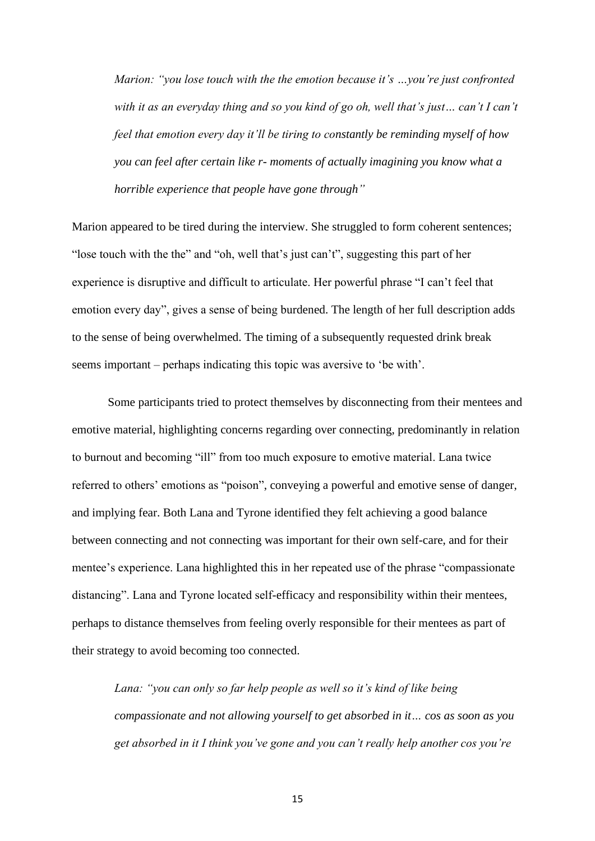*Marion: "you lose touch with the the emotion because it's …you're just confronted with it as an everyday thing and so you kind of go oh, well that's just… can't I can't feel that emotion every day it'll be tiring to constantly be reminding myself of how you can feel after certain like r- moments of actually imagining you know what a horrible experience that people have gone through"*

Marion appeared to be tired during the interview. She struggled to form coherent sentences; "lose touch with the the" and "oh, well that's just can't", suggesting this part of her experience is disruptive and difficult to articulate. Her powerful phrase "I can't feel that emotion every day", gives a sense of being burdened. The length of her full description adds to the sense of being overwhelmed. The timing of a subsequently requested drink break seems important – perhaps indicating this topic was aversive to 'be with'.

Some participants tried to protect themselves by disconnecting from their mentees and emotive material, highlighting concerns regarding over connecting, predominantly in relation to burnout and becoming "ill" from too much exposure to emotive material. Lana twice referred to others' emotions as "poison", conveying a powerful and emotive sense of danger, and implying fear. Both Lana and Tyrone identified they felt achieving a good balance between connecting and not connecting was important for their own self-care, and for their mentee's experience. Lana highlighted this in her repeated use of the phrase "compassionate distancing". Lana and Tyrone located self-efficacy and responsibility within their mentees, perhaps to distance themselves from feeling overly responsible for their mentees as part of their strategy to avoid becoming too connected.

*Lana: "you can only so far help people as well so it's kind of like being compassionate and not allowing yourself to get absorbed in it… cos as soon as you get absorbed in it I think you've gone and you can't really help another cos you're*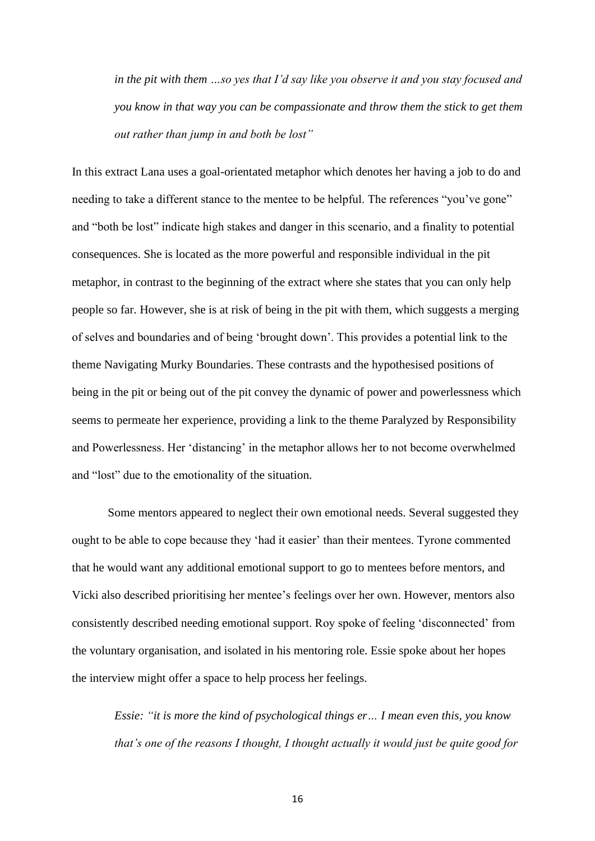*in the pit with them …so yes that I'd say like you observe it and you stay focused and you know in that way you can be compassionate and throw them the stick to get them out rather than jump in and both be lost"*

In this extract Lana uses a goal-orientated metaphor which denotes her having a job to do and needing to take a different stance to the mentee to be helpful. The references "you've gone" and "both be lost" indicate high stakes and danger in this scenario, and a finality to potential consequences. She is located as the more powerful and responsible individual in the pit metaphor, in contrast to the beginning of the extract where she states that you can only help people so far. However, she is at risk of being in the pit with them, which suggests a merging of selves and boundaries and of being 'brought down'. This provides a potential link to the theme Navigating Murky Boundaries. These contrasts and the hypothesised positions of being in the pit or being out of the pit convey the dynamic of power and powerlessness which seems to permeate her experience, providing a link to the theme Paralyzed by Responsibility and Powerlessness. Her 'distancing' in the metaphor allows her to not become overwhelmed and "lost" due to the emotionality of the situation.

Some mentors appeared to neglect their own emotional needs. Several suggested they ought to be able to cope because they 'had it easier' than their mentees. Tyrone commented that he would want any additional emotional support to go to mentees before mentors, and Vicki also described prioritising her mentee's feelings over her own. However, mentors also consistently described needing emotional support. Roy spoke of feeling 'disconnected' from the voluntary organisation, and isolated in his mentoring role. Essie spoke about her hopes the interview might offer a space to help process her feelings.

*Essie: "it is more the kind of psychological things er… I mean even this, you know that's one of the reasons I thought, I thought actually it would just be quite good for*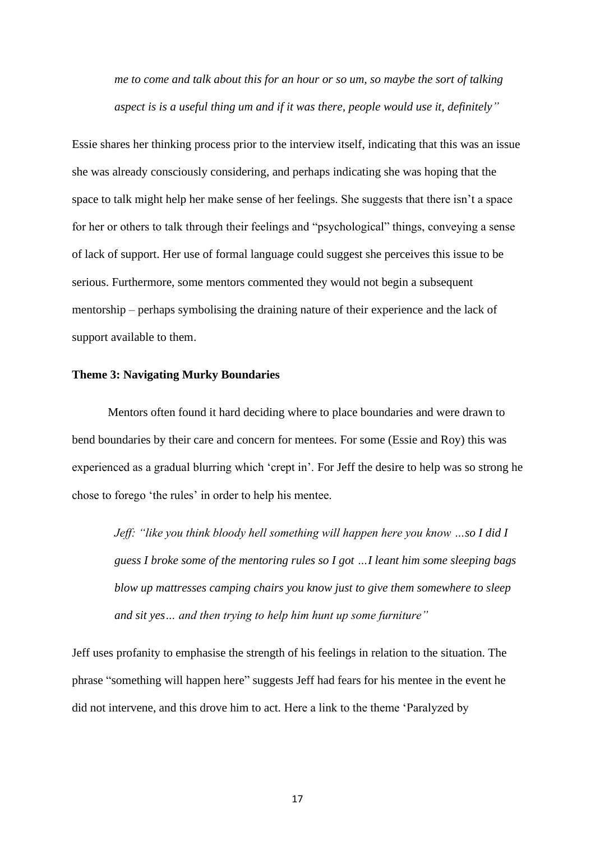*me to come and talk about this for an hour or so um, so maybe the sort of talking aspect is is a useful thing um and if it was there, people would use it, definitely"*

Essie shares her thinking process prior to the interview itself, indicating that this was an issue she was already consciously considering, and perhaps indicating she was hoping that the space to talk might help her make sense of her feelings. She suggests that there isn't a space for her or others to talk through their feelings and "psychological" things, conveying a sense of lack of support. Her use of formal language could suggest she perceives this issue to be serious. Furthermore, some mentors commented they would not begin a subsequent mentorship – perhaps symbolising the draining nature of their experience and the lack of support available to them.

#### **Theme 3: Navigating Murky Boundaries**

Mentors often found it hard deciding where to place boundaries and were drawn to bend boundaries by their care and concern for mentees. For some (Essie and Roy) this was experienced as a gradual blurring which 'crept in'. For Jeff the desire to help was so strong he chose to forego 'the rules' in order to help his mentee.

*Jeff: "like you think bloody hell something will happen here you know …so I did I guess I broke some of the mentoring rules so I got …I leant him some sleeping bags blow up mattresses camping chairs you know just to give them somewhere to sleep and sit yes… and then trying to help him hunt up some furniture"*

Jeff uses profanity to emphasise the strength of his feelings in relation to the situation. The phrase "something will happen here" suggests Jeff had fears for his mentee in the event he did not intervene, and this drove him to act. Here a link to the theme 'Paralyzed by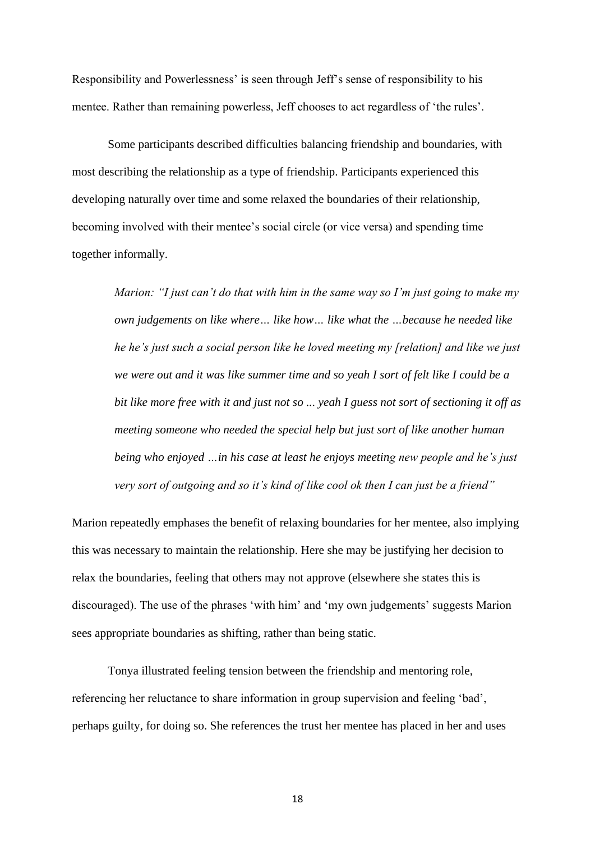Responsibility and Powerlessness' is seen through Jeff's sense of responsibility to his mentee. Rather than remaining powerless, Jeff chooses to act regardless of 'the rules'.

Some participants described difficulties balancing friendship and boundaries, with most describing the relationship as a type of friendship. Participants experienced this developing naturally over time and some relaxed the boundaries of their relationship, becoming involved with their mentee's social circle (or vice versa) and spending time together informally.

*Marion: "I just can't do that with him in the same way so I'm just going to make my own judgements on like where… like how… like what the …because he needed like he he's just such a social person like he loved meeting my [relation] and like we just we were out and it was like summer time and so yeah I sort of felt like I could be a bit like more free with it and just not so ... yeah I guess not sort of sectioning it off as meeting someone who needed the special help but just sort of like another human being who enjoyed …in his case at least he enjoys meeting new people and he's just very sort of outgoing and so it's kind of like cool ok then I can just be a friend"*

Marion repeatedly emphases the benefit of relaxing boundaries for her mentee, also implying this was necessary to maintain the relationship. Here she may be justifying her decision to relax the boundaries, feeling that others may not approve (elsewhere she states this is discouraged). The use of the phrases 'with him' and 'my own judgements' suggests Marion sees appropriate boundaries as shifting, rather than being static.

Tonya illustrated feeling tension between the friendship and mentoring role, referencing her reluctance to share information in group supervision and feeling 'bad', perhaps guilty, for doing so. She references the trust her mentee has placed in her and uses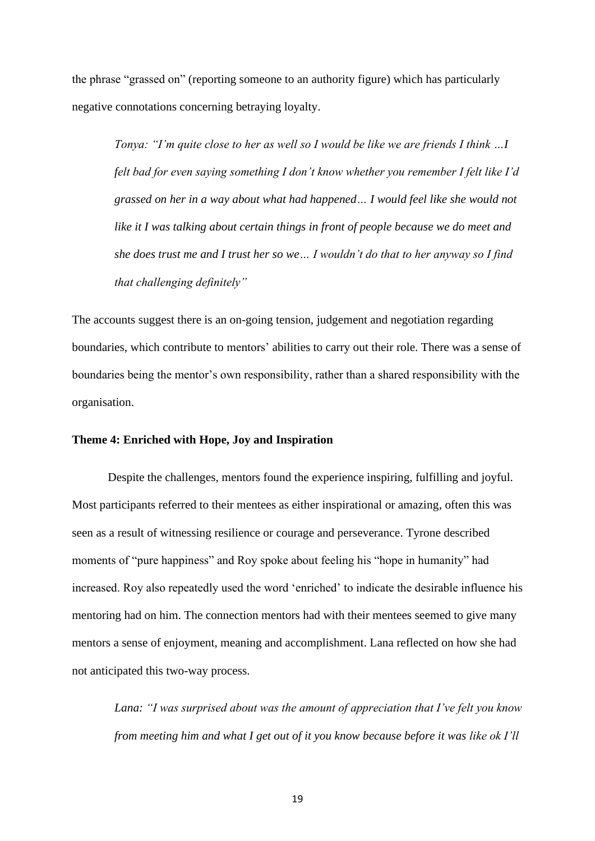the phrase "grassed on" (reporting someone to an authority figure) which has particularly negative connotations concerning betraying loyalty.

*Tonya: "I'm quite close to her as well so I would be like we are friends I think …I felt bad for even saying something I don't know whether you remember I felt like I'd grassed on her in a way about what had happened… I would feel like she would not like it I was talking about certain things in front of people because we do meet and she does trust me and I trust her so we… I wouldn't do that to her anyway so I find that challenging definitely"*

The accounts suggest there is an on-going tension, judgement and negotiation regarding boundaries, which contribute to mentors' abilities to carry out their role. There was a sense of boundaries being the mentor's own responsibility, rather than a shared responsibility with the organisation.

# **Theme 4: Enriched with Hope, Joy and Inspiration**

Despite the challenges, mentors found the experience inspiring, fulfilling and joyful. Most participants referred to their mentees as either inspirational or amazing, often this was seen as a result of witnessing resilience or courage and perseverance. Tyrone described moments of "pure happiness" and Roy spoke about feeling his "hope in humanity" had increased. Roy also repeatedly used the word 'enriched' to indicate the desirable influence his mentoring had on him. The connection mentors had with their mentees seemed to give many mentors a sense of enjoyment, meaning and accomplishment. Lana reflected on how she had not anticipated this two-way process.

*Lana: "I was surprised about was the amount of appreciation that I've felt you know from meeting him and what I get out of it you know because before it was like ok I'll*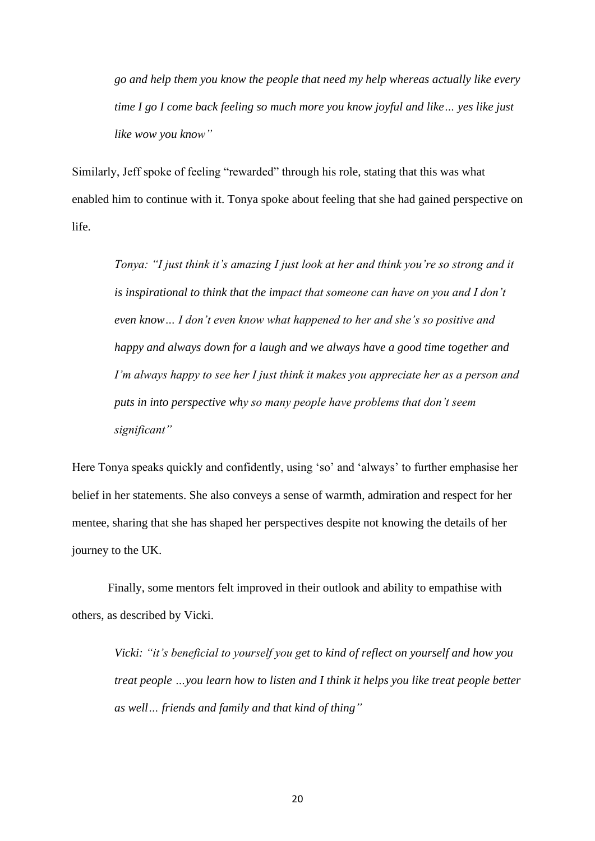*go and help them you know the people that need my help whereas actually like every time I go I come back feeling so much more you know joyful and like… yes like just like wow you know"*

Similarly, Jeff spoke of feeling "rewarded" through his role, stating that this was what enabled him to continue with it. Tonya spoke about feeling that she had gained perspective on life.

*Tonya: "I just think it's amazing I just look at her and think you're so strong and it is inspirational to think that the impact that someone can have on you and I don't even know… I don't even know what happened to her and she's so positive and happy and always down for a laugh and we always have a good time together and I'm always happy to see her I just think it makes you appreciate her as a person and puts in into perspective why so many people have problems that don't seem significant"*

Here Tonya speaks quickly and confidently, using 'so' and 'always' to further emphasise her belief in her statements. She also conveys a sense of warmth, admiration and respect for her mentee, sharing that she has shaped her perspectives despite not knowing the details of her journey to the UK.

Finally, some mentors felt improved in their outlook and ability to empathise with others, as described by Vicki.

*Vicki: "it's beneficial to yourself you get to kind of reflect on yourself and how you treat people …you learn how to listen and I think it helps you like treat people better as well… friends and family and that kind of thing"*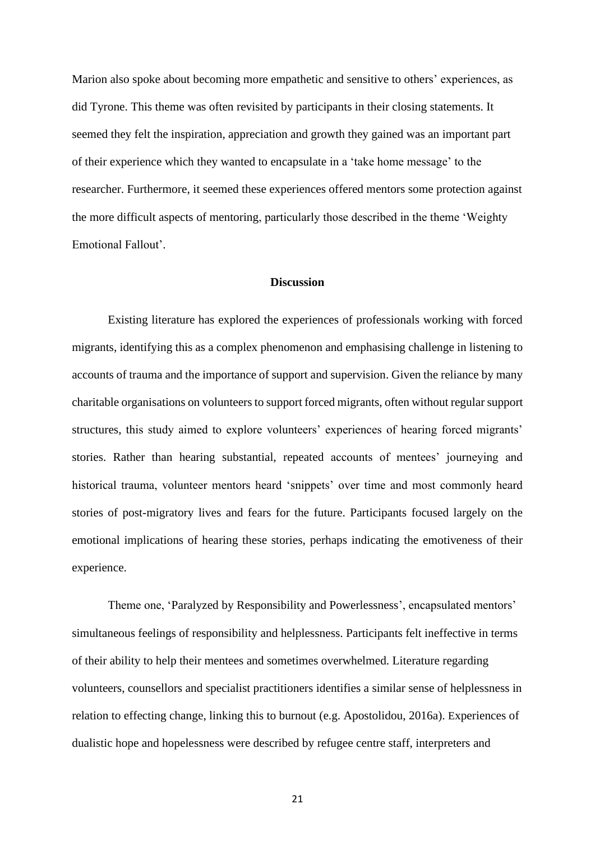Marion also spoke about becoming more empathetic and sensitive to others' experiences, as did Tyrone. This theme was often revisited by participants in their closing statements. It seemed they felt the inspiration, appreciation and growth they gained was an important part of their experience which they wanted to encapsulate in a 'take home message' to the researcher. Furthermore, it seemed these experiences offered mentors some protection against the more difficult aspects of mentoring, particularly those described in the theme 'Weighty Emotional Fallout'.

# **Discussion**

Existing literature has explored the experiences of professionals working with forced migrants, identifying this as a complex phenomenon and emphasising challenge in listening to accounts of trauma and the importance of support and supervision. Given the reliance by many charitable organisations on volunteers to support forced migrants, often without regular support structures, this study aimed to explore volunteers' experiences of hearing forced migrants' stories. Rather than hearing substantial, repeated accounts of mentees' journeying and historical trauma, volunteer mentors heard 'snippets' over time and most commonly heard stories of post-migratory lives and fears for the future. Participants focused largely on the emotional implications of hearing these stories, perhaps indicating the emotiveness of their experience.

Theme one, 'Paralyzed by Responsibility and Powerlessness', encapsulated mentors' simultaneous feelings of responsibility and helplessness. Participants felt ineffective in terms of their ability to help their mentees and sometimes overwhelmed. Literature regarding volunteers, counsellors and specialist practitioners identifies a similar sense of helplessness in relation to effecting change, linking this to burnout (e.g. Apostolidou, 2016a). Experiences of dualistic hope and hopelessness were described by refugee centre staff, interpreters and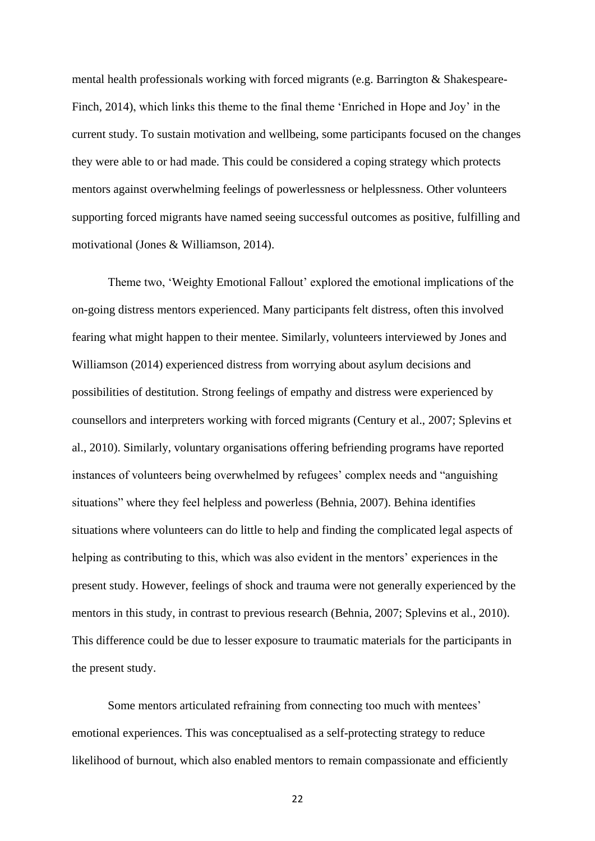mental health professionals working with forced migrants (e.g. Barrington & Shakespeare-Finch, 2014), which links this theme to the final theme 'Enriched in Hope and Joy' in the current study. To sustain motivation and wellbeing, some participants focused on the changes they were able to or had made. This could be considered a coping strategy which protects mentors against overwhelming feelings of powerlessness or helplessness. Other volunteers supporting forced migrants have named seeing successful outcomes as positive, fulfilling and motivational (Jones & Williamson, 2014).

Theme two, 'Weighty Emotional Fallout' explored the emotional implications of the on-going distress mentors experienced. Many participants felt distress, often this involved fearing what might happen to their mentee. Similarly, volunteers interviewed by Jones and Williamson (2014) experienced distress from worrying about asylum decisions and possibilities of destitution. Strong feelings of empathy and distress were experienced by counsellors and interpreters working with forced migrants (Century et al., 2007; Splevins et al., 2010). Similarly, voluntary organisations offering befriending programs have reported instances of volunteers being overwhelmed by refugees' complex needs and "anguishing situations" where they feel helpless and powerless (Behnia, 2007). Behina identifies situations where volunteers can do little to help and finding the complicated legal aspects of helping as contributing to this, which was also evident in the mentors' experiences in the present study. However, feelings of shock and trauma were not generally experienced by the mentors in this study, in contrast to previous research (Behnia, 2007; Splevins et al., 2010). This difference could be due to lesser exposure to traumatic materials for the participants in the present study.

Some mentors articulated refraining from connecting too much with mentees' emotional experiences. This was conceptualised as a self-protecting strategy to reduce likelihood of burnout, which also enabled mentors to remain compassionate and efficiently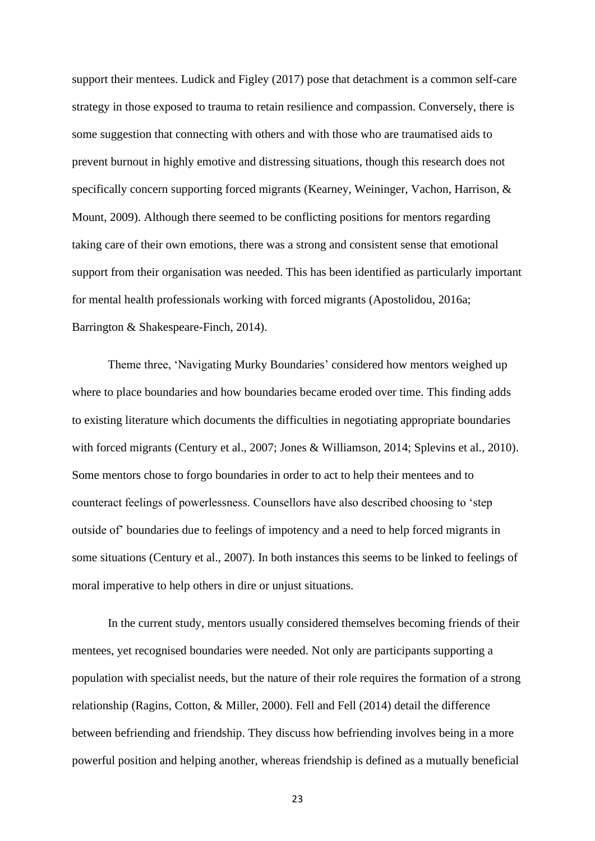support their mentees. Ludick and Figley (2017) pose that detachment is a common self-care strategy in those exposed to trauma to retain resilience and compassion. Conversely, there is some suggestion that connecting with others and with those who are traumatised aids to prevent burnout in highly emotive and distressing situations, though this research does not specifically concern supporting forced migrants (Kearney, Weininger, Vachon, Harrison, & Mount, 2009). Although there seemed to be conflicting positions for mentors regarding taking care of their own emotions, there was a strong and consistent sense that emotional support from their organisation was needed. This has been identified as particularly important for mental health professionals working with forced migrants (Apostolidou, 2016a; Barrington & Shakespeare-Finch, 2014).

Theme three, 'Navigating Murky Boundaries' considered how mentors weighed up where to place boundaries and how boundaries became eroded over time. This finding adds to existing literature which documents the difficulties in negotiating appropriate boundaries with forced migrants (Century et al., 2007; Jones & Williamson, 2014; Splevins et al., 2010). Some mentors chose to forgo boundaries in order to act to help their mentees and to counteract feelings of powerlessness. Counsellors have also described choosing to 'step outside of' boundaries due to feelings of impotency and a need to help forced migrants in some situations (Century et al., 2007). In both instances this seems to be linked to feelings of moral imperative to help others in dire or unjust situations.

In the current study, mentors usually considered themselves becoming friends of their mentees, yet recognised boundaries were needed. Not only are participants supporting a population with specialist needs, but the nature of their role requires the formation of a strong relationship (Ragins, Cotton, & Miller, 2000). Fell and Fell (2014) detail the difference between befriending and friendship. They discuss how befriending involves being in a more powerful position and helping another, whereas friendship is defined as a mutually beneficial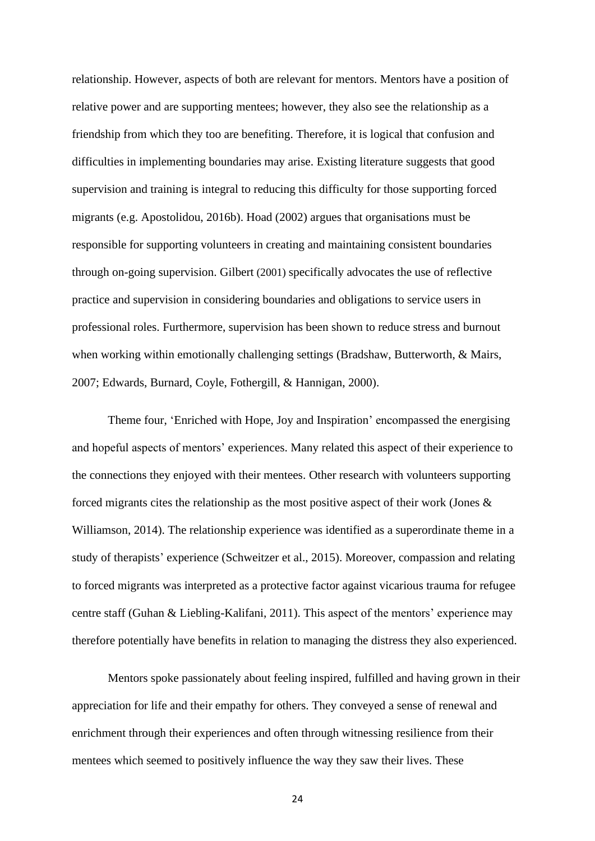relationship. However, aspects of both are relevant for mentors. Mentors have a position of relative power and are supporting mentees; however, they also see the relationship as a friendship from which they too are benefiting. Therefore, it is logical that confusion and difficulties in implementing boundaries may arise. Existing literature suggests that good supervision and training is integral to reducing this difficulty for those supporting forced migrants (e.g. Apostolidou, 2016b). Hoad (2002) argues that organisations must be responsible for supporting volunteers in creating and maintaining consistent boundaries through on-going supervision. Gilbert (2001) specifically advocates the use of reflective practice and supervision in considering boundaries and obligations to service users in professional roles. Furthermore, supervision has been shown to reduce stress and burnout when working within emotionally challenging settings (Bradshaw, Butterworth, & Mairs, 2007; Edwards, Burnard, Coyle, Fothergill, & Hannigan, 2000).

Theme four, 'Enriched with Hope, Joy and Inspiration' encompassed the energising and hopeful aspects of mentors' experiences. Many related this aspect of their experience to the connections they enjoyed with their mentees. Other research with volunteers supporting forced migrants cites the relationship as the most positive aspect of their work (Jones & Williamson, 2014). The relationship experience was identified as a superordinate theme in a study of therapists' experience (Schweitzer et al., 2015). Moreover, compassion and relating to forced migrants was interpreted as a protective factor against vicarious trauma for refugee centre staff (Guhan & Liebling-Kalifani, 2011). This aspect of the mentors' experience may therefore potentially have benefits in relation to managing the distress they also experienced.

Mentors spoke passionately about feeling inspired, fulfilled and having grown in their appreciation for life and their empathy for others. They conveyed a sense of renewal and enrichment through their experiences and often through witnessing resilience from their mentees which seemed to positively influence the way they saw their lives. These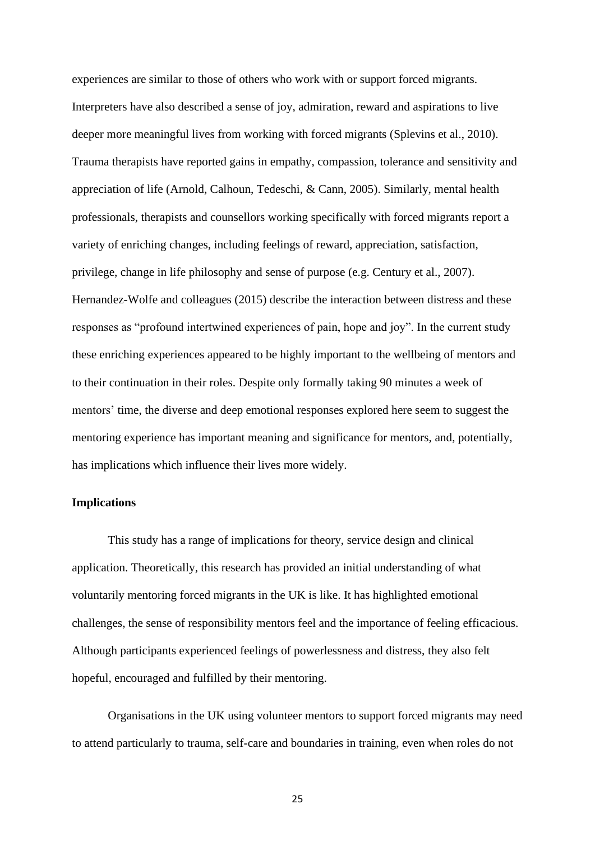experiences are similar to those of others who work with or support forced migrants. Interpreters have also described a sense of joy, admiration, reward and aspirations to live deeper more meaningful lives from working with forced migrants (Splevins et al., 2010). Trauma therapists have reported gains in empathy, compassion, tolerance and sensitivity and appreciation of life (Arnold, Calhoun, Tedeschi, & Cann, 2005). Similarly, mental health professionals, therapists and counsellors working specifically with forced migrants report a variety of enriching changes, including feelings of reward, appreciation, satisfaction, privilege, change in life philosophy and sense of purpose (e.g. Century et al., 2007). Hernandez-Wolfe and colleagues (2015) describe the interaction between distress and these responses as "profound intertwined experiences of pain, hope and joy". In the current study these enriching experiences appeared to be highly important to the wellbeing of mentors and to their continuation in their roles. Despite only formally taking 90 minutes a week of mentors' time, the diverse and deep emotional responses explored here seem to suggest the mentoring experience has important meaning and significance for mentors, and, potentially, has implications which influence their lives more widely.

# **Implications**

This study has a range of implications for theory, service design and clinical application. Theoretically, this research has provided an initial understanding of what voluntarily mentoring forced migrants in the UK is like. It has highlighted emotional challenges, the sense of responsibility mentors feel and the importance of feeling efficacious. Although participants experienced feelings of powerlessness and distress, they also felt hopeful, encouraged and fulfilled by their mentoring.

Organisations in the UK using volunteer mentors to support forced migrants may need to attend particularly to trauma, self-care and boundaries in training, even when roles do not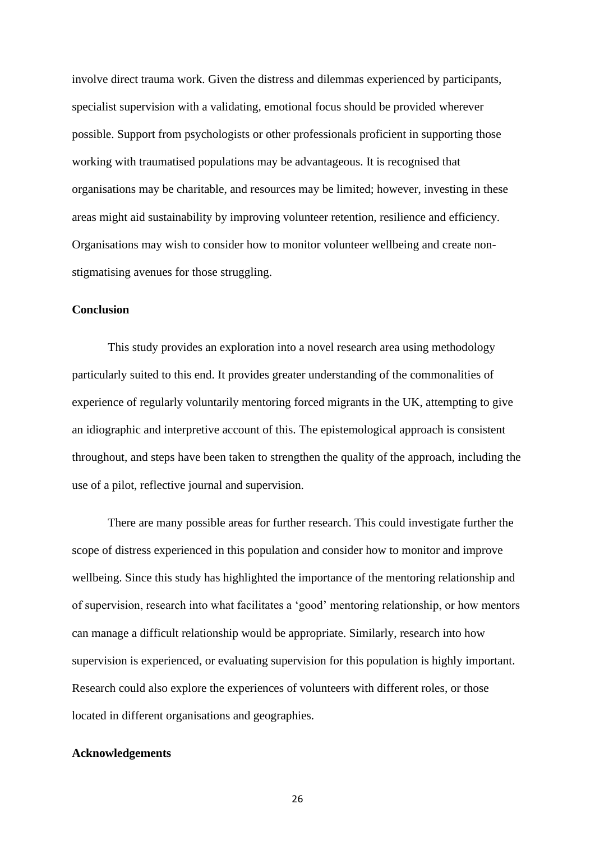involve direct trauma work. Given the distress and dilemmas experienced by participants, specialist supervision with a validating, emotional focus should be provided wherever possible. Support from psychologists or other professionals proficient in supporting those working with traumatised populations may be advantageous. It is recognised that organisations may be charitable, and resources may be limited; however, investing in these areas might aid sustainability by improving volunteer retention, resilience and efficiency. Organisations may wish to consider how to monitor volunteer wellbeing and create nonstigmatising avenues for those struggling.

# **Conclusion**

This study provides an exploration into a novel research area using methodology particularly suited to this end. It provides greater understanding of the commonalities of experience of regularly voluntarily mentoring forced migrants in the UK, attempting to give an idiographic and interpretive account of this. The epistemological approach is consistent throughout, and steps have been taken to strengthen the quality of the approach, including the use of a pilot, reflective journal and supervision.

There are many possible areas for further research. This could investigate further the scope of distress experienced in this population and consider how to monitor and improve wellbeing. Since this study has highlighted the importance of the mentoring relationship and of supervision, research into what facilitates a 'good' mentoring relationship, or how mentors can manage a difficult relationship would be appropriate. Similarly, research into how supervision is experienced, or evaluating supervision for this population is highly important. Research could also explore the experiences of volunteers with different roles, or those located in different organisations and geographies.

# **Acknowledgements**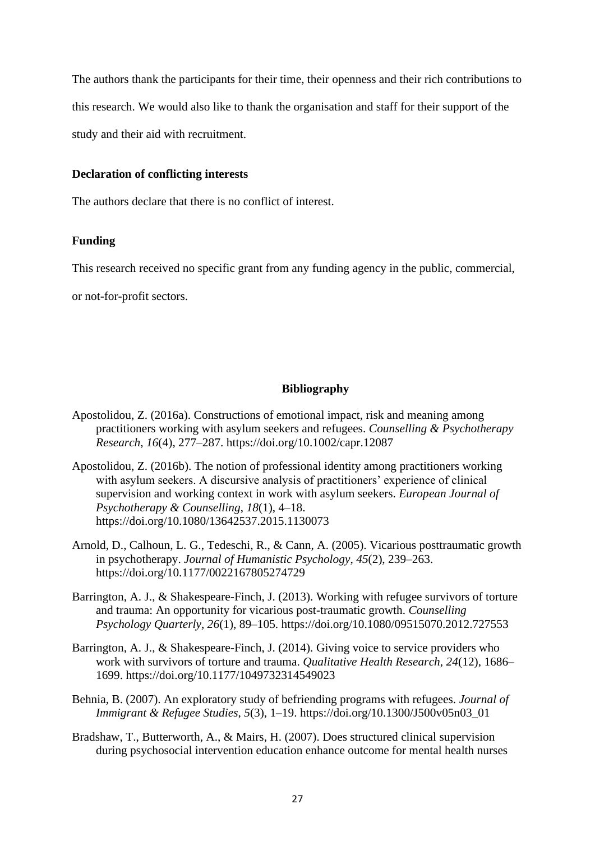The authors thank the participants for their time, their openness and their rich contributions to this research. We would also like to thank the organisation and staff for their support of the study and their aid with recruitment.

## **Declaration of conflicting interests**

The authors declare that there is no conflict of interest.

# **Funding**

This research received no specific grant from any funding agency in the public, commercial,

or not-for-profit sectors.

## **Bibliography**

- Apostolidou, Z. (2016a). Constructions of emotional impact, risk and meaning among practitioners working with asylum seekers and refugees. *Counselling & Psychotherapy Research*, *16*(4), 277–287. https://doi.org/10.1002/capr.12087
- Apostolidou, Z. (2016b). The notion of professional identity among practitioners working with asylum seekers. A discursive analysis of practitioners' experience of clinical supervision and working context in work with asylum seekers. *European Journal of Psychotherapy & Counselling*, *18*(1), 4–18. https://doi.org/10.1080/13642537.2015.1130073
- Arnold, D., Calhoun, L. G., Tedeschi, R., & Cann, A. (2005). Vicarious posttraumatic growth in psychotherapy. *Journal of Humanistic Psychology*, *45*(2), 239–263. https://doi.org/10.1177/0022167805274729
- Barrington, A. J., & Shakespeare-Finch, J. (2013). Working with refugee survivors of torture and trauma: An opportunity for vicarious post-traumatic growth. *Counselling Psychology Quarterly*, *26*(1), 89–105. https://doi.org/10.1080/09515070.2012.727553
- Barrington, A. J., & Shakespeare-Finch, J. (2014). Giving voice to service providers who work with survivors of torture and trauma. *Qualitative Health Research*, *24*(12), 1686– 1699. https://doi.org/10.1177/1049732314549023
- Behnia, B. (2007). An exploratory study of befriending programs with refugees. *Journal of Immigrant & Refugee Studies*, *5*(3), 1–19. https://doi.org/10.1300/J500v05n03\_01
- Bradshaw, T., Butterworth, A., & Mairs, H. (2007). Does structured clinical supervision during psychosocial intervention education enhance outcome for mental health nurses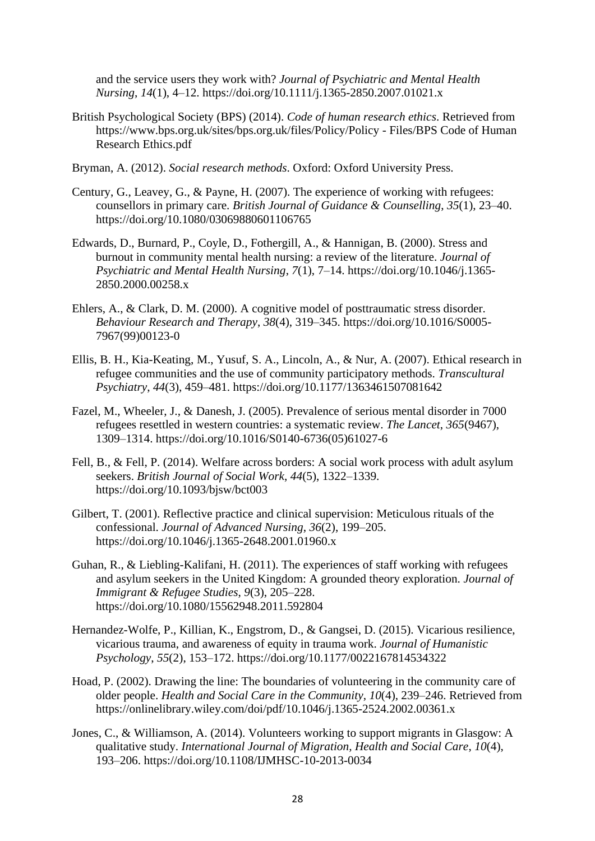and the service users they work with? *Journal of Psychiatric and Mental Health Nursing*, *14*(1), 4–12. https://doi.org/10.1111/j.1365-2850.2007.01021.x

- British Psychological Society (BPS) (2014). *Code of human research ethics*. Retrieved from https://www.bps.org.uk/sites/bps.org.uk/files/Policy/Policy - Files/BPS Code of Human Research Ethics.pdf
- Bryman, A. (2012). *Social research methods*. Oxford: Oxford University Press.
- Century, G., Leavey, G., & Payne, H. (2007). The experience of working with refugees: counsellors in primary care. *British Journal of Guidance & Counselling*, *35*(1), 23–40. https://doi.org/10.1080/03069880601106765
- Edwards, D., Burnard, P., Coyle, D., Fothergill, A., & Hannigan, B. (2000). Stress and burnout in community mental health nursing: a review of the literature. *Journal of Psychiatric and Mental Health Nursing*, *7*(1), 7–14. https://doi.org/10.1046/j.1365- 2850.2000.00258.x
- Ehlers, A., & Clark, D. M. (2000). A cognitive model of posttraumatic stress disorder. *Behaviour Research and Therapy*, *38*(4), 319–345. https://doi.org/10.1016/S0005- 7967(99)00123-0
- Ellis, B. H., Kia-Keating, M., Yusuf, S. A., Lincoln, A., & Nur, A. (2007). Ethical research in refugee communities and the use of community participatory methods. *Transcultural Psychiatry*, *44*(3), 459–481. https://doi.org/10.1177/1363461507081642
- Fazel, M., Wheeler, J., & Danesh, J. (2005). Prevalence of serious mental disorder in 7000 refugees resettled in western countries: a systematic review. *The Lancet*, *365*(9467), 1309–1314. https://doi.org/10.1016/S0140-6736(05)61027-6
- Fell, B., & Fell, P. (2014). Welfare across borders: A social work process with adult asylum seekers. *British Journal of Social Work*, *44*(5), 1322–1339. https://doi.org/10.1093/bjsw/bct003
- Gilbert, T. (2001). Reflective practice and clinical supervision: Meticulous rituals of the confessional. *Journal of Advanced Nursing*, *36*(2), 199–205. https://doi.org/10.1046/j.1365-2648.2001.01960.x
- Guhan, R., & Liebling-Kalifani, H. (2011). The experiences of staff working with refugees and asylum seekers in the United Kingdom: A grounded theory exploration. *Journal of Immigrant & Refugee Studies*, *9*(3), 205–228. https://doi.org/10.1080/15562948.2011.592804
- Hernandez-Wolfe, P., Killian, K., Engstrom, D., & Gangsei, D. (2015). Vicarious resilience, vicarious trauma, and awareness of equity in trauma work. *Journal of Humanistic Psychology*, *55*(2), 153–172. https://doi.org/10.1177/0022167814534322
- Hoad, P. (2002). Drawing the line: The boundaries of volunteering in the community care of older people. *Health and Social Care in the Community*, *10*(4), 239–246. Retrieved from https://onlinelibrary.wiley.com/doi/pdf/10.1046/j.1365-2524.2002.00361.x
- Jones, C., & Williamson, A. (2014). Volunteers working to support migrants in Glasgow: A qualitative study. *International Journal of Migration, Health and Social Care*, *10*(4), 193–206. https://doi.org/10.1108/IJMHSC-10-2013-0034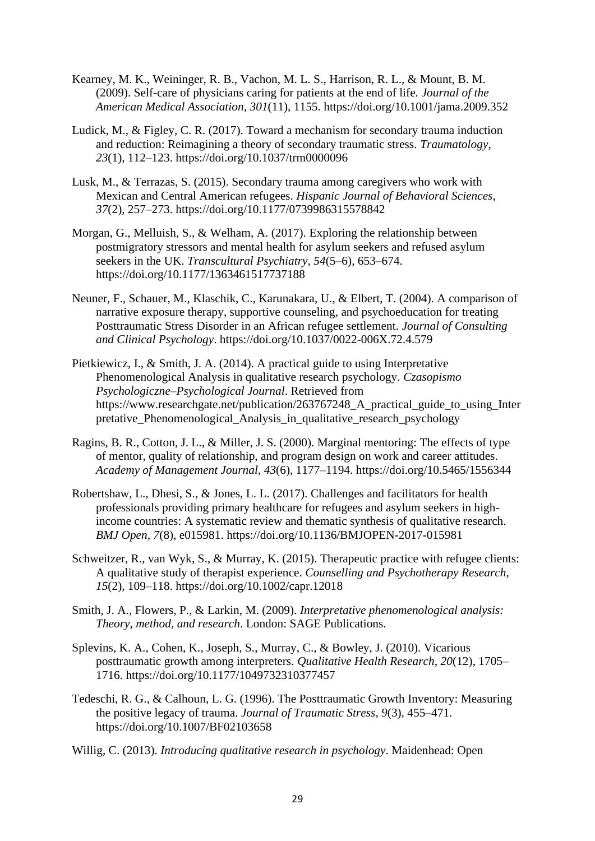- Kearney, M. K., Weininger, R. B., Vachon, M. L. S., Harrison, R. L., & Mount, B. M. (2009). Self-care of physicians caring for patients at the end of life. *Journal of the American Medical Association*, *301*(11), 1155. https://doi.org/10.1001/jama.2009.352
- Ludick, M., & Figley, C. R. (2017). Toward a mechanism for secondary trauma induction and reduction: Reimagining a theory of secondary traumatic stress. *Traumatology*, *23*(1), 112–123. https://doi.org/10.1037/trm0000096
- Lusk, M., & Terrazas, S. (2015). Secondary trauma among caregivers who work with Mexican and Central American refugees. *Hispanic Journal of Behavioral Sciences*, *37*(2), 257–273. https://doi.org/10.1177/0739986315578842
- Morgan, G., Melluish, S., & Welham, A. (2017). Exploring the relationship between postmigratory stressors and mental health for asylum seekers and refused asylum seekers in the UK. *Transcultural Psychiatry*, *54*(5–6), 653–674. https://doi.org/10.1177/1363461517737188
- Neuner, F., Schauer, M., Klaschik, C., Karunakara, U., & Elbert, T. (2004). A comparison of narrative exposure therapy, supportive counseling, and psychoeducation for treating Posttraumatic Stress Disorder in an African refugee settlement. *Journal of Consulting and Clinical Psychology*. https://doi.org/10.1037/0022-006X.72.4.579
- Pietkiewicz, I., & Smith, J. A. (2014). A practical guide to using Interpretative Phenomenological Analysis in qualitative research psychology. *Czasopismo Psychologiczne–Psychological Journal*. Retrieved from https://www.researchgate.net/publication/263767248\_A\_practical\_guide\_to\_using\_Inter pretative\_Phenomenological\_Analysis\_in\_qualitative\_research\_psychology
- Ragins, B. R., Cotton, J. L., & Miller, J. S. (2000). Marginal mentoring: The effects of type of mentor, quality of relationship, and program design on work and career attitudes. *Academy of Management Journal*, *43*(6), 1177–1194. https://doi.org/10.5465/1556344
- Robertshaw, L., Dhesi, S., & Jones, L. L. (2017). Challenges and facilitators for health professionals providing primary healthcare for refugees and asylum seekers in highincome countries: A systematic review and thematic synthesis of qualitative research. *BMJ Open*, *7*(8), e015981. https://doi.org/10.1136/BMJOPEN-2017-015981
- Schweitzer, R., van Wyk, S., & Murray, K. (2015). Therapeutic practice with refugee clients: A qualitative study of therapist experience. *Counselling and Psychotherapy Research*, *15*(2), 109–118. https://doi.org/10.1002/capr.12018
- Smith, J. A., Flowers, P., & Larkin, M. (2009). *Interpretative phenomenological analysis: Theory, method, and research*. London: SAGE Publications.
- Splevins, K. A., Cohen, K., Joseph, S., Murray, C., & Bowley, J. (2010). Vicarious posttraumatic growth among interpreters. *Qualitative Health Research*, *20*(12), 1705– 1716. https://doi.org/10.1177/1049732310377457
- Tedeschi, R. G., & Calhoun, L. G. (1996). The Posttraumatic Growth Inventory: Measuring the positive legacy of trauma. *Journal of Traumatic Stress*, *9*(3), 455–471. https://doi.org/10.1007/BF02103658
- Willig, C. (2013). *Introducing qualitative research in psychology*. Maidenhead: Open